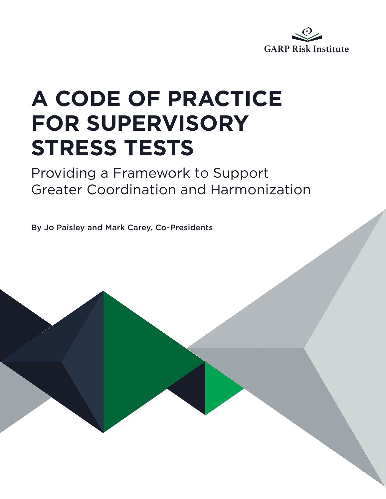

# **A CODE OF PRACTICE FOR SUPERVISORY STRESS TESTS**

### Providing a Framework to Support Greater Coordination and Harmonization

By Jo Paisley and Mark Carey, Co-Presidents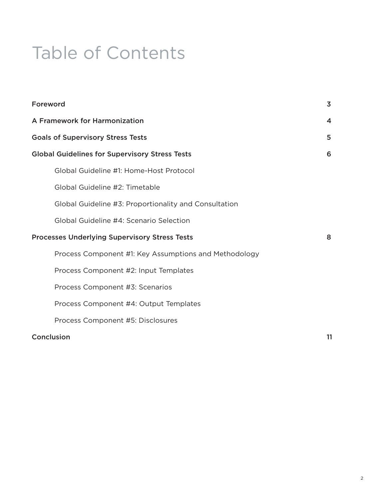### Table of Contents

| Foreword                                              | $\overline{\mathbf{3}}$ |
|-------------------------------------------------------|-------------------------|
| A Framework for Harmonization                         | 4                       |
| <b>Goals of Supervisory Stress Tests</b>              | 5                       |
| <b>Global Guidelines for Supervisory Stress Tests</b> | 6                       |
| Global Guideline #1: Home-Host Protocol               |                         |
| Global Guideline #2: Timetable                        |                         |
| Global Guideline #3: Proportionality and Consultation |                         |
| Global Guideline #4: Scenario Selection               |                         |
| <b>Processes Underlying Supervisory Stress Tests</b>  | 8                       |
| Process Component #1: Key Assumptions and Methodology |                         |
| Process Component #2: Input Templates                 |                         |
| Process Component #3: Scenarios                       |                         |
| Process Component #4: Output Templates                |                         |
| Process Component #5: Disclosures                     |                         |
| Conclusion                                            | 11                      |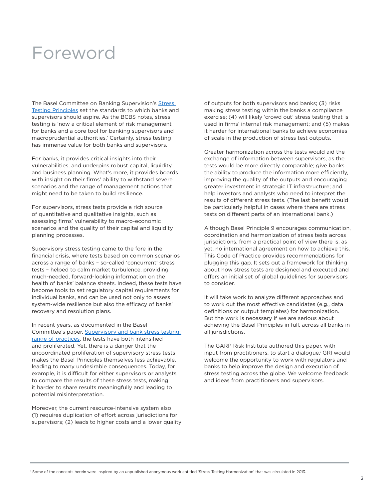### Foreword

The Basel Committee on Banking Supervision's Stress [Testing Principles](https://www.bis.org/bcbs/publ/d450.pdf) set the standards to which banks and supervisors should aspire. As the BCBS notes, stress testing is 'now a critical element of risk management for banks and a core tool for banking supervisors and macroprudential authorities.' Certainly, stress testing has immense value for both banks and supervisors.

For banks, it provides critical insights into their vulnerabilities, and underpins robust capital, liquidity and business planning. What's more, it provides boards with insight on their firms' ability to withstand severe scenarios and the range of management actions that might need to be taken to build resilience.

For supervisors, stress tests provide a rich source of quantitative and qualitative insights, such as assessing firms' vulnerability to macro-economic scenarios and the quality of their capital and liquidity planning processes.

Supervisory stress testing came to the fore in the financial crisis, where tests based on common scenarios across a range of banks – so-called 'concurrent' stress tests – helped to calm market turbulence, providing much-needed, forward-looking information on the health of banks' balance sheets. Indeed, these tests have become tools to set regulatory capital requirements for individual banks, and can be used not only to assess system-wide resilience but also the efficacy of banks' recovery and resolution plans.

In recent years, as documented in the Basel Committee's paper, [Supervisory and bank stress testing:](https://www.bis.org/bcbs/publ/d427.pdf)  [range of practices](https://www.bis.org/bcbs/publ/d427.pdf), the tests have both intensified and proliferated. Yet, there is a danger that the uncoordinated proliferation of supervisory stress tests makes the Basel Principles themselves less achievable, leading to many undesirable consequences. Today, for example, it is difficult for either supervisors or analysts to compare the results of these stress tests, making it harder to share results meaningfully and leading to potential misinterpretation.

Moreover, the current resource-intensive system also (1) requires duplication of effort across jurisdictions for supervisors; (2) leads to higher costs and a lower quality of outputs for both supervisors and banks; (3) risks making stress testing within the banks a compliance exercise; (4) will likely 'crowd out' stress testing that is used in firms' internal risk management; and (5) makes it harder for international banks to achieve economies of scale in the production of stress test outputs.

Greater harmonization across the tests would aid the exchange of information between supervisors, as the tests would be more directly comparable; give banks the ability to produce the information more efficiently, improving the quality of the outputs and encouraging greater investment in strategic IT infrastructure; and help investors and analysts who need to interpret the results of different stress tests. (The last benefit would be particularly helpful in cases where there are stress tests on different parts of an international bank.)

Although Basel Principle 9 encourages communication, coordination and harmonization of stress tests across jurisdictions, from a practical point of view there is, as yet, no international agreement on how to achieve this. This Code of Practice provides recommendations for plugging this gap. It sets out a framework for thinking about how stress tests are designed and executed and offers an initial set of global guidelines for supervisors to consider.

It will take work to analyze different approaches and to work out the most effective candidates (e.g., data definitions or output templates) for harmonization. But the work is necessary if we are serious about achieving the Basel Principles in full, across all banks in all jurisdictions.

The GARP Risk Institute authored this paper, with input from practitioners, to start a dialogue.1 GRI would welcome the opportunity to work with regulators and banks to help improve the design and execution of stress testing across the globe. We welcome feedback and ideas from practitioners and supervisors.

1 Some of the concepts herein were inspired by an unpublished anonymous work entitled 'Stress Testing Harmonization' that was circulated in 2013.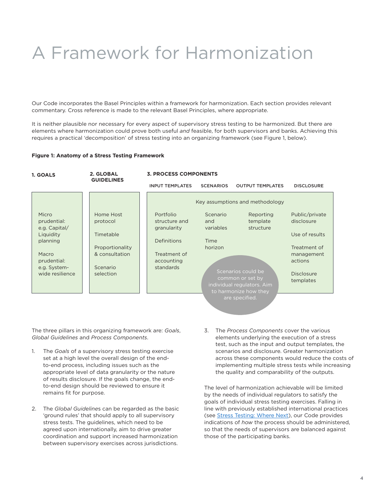## A Framework for Harmonization

Our Code incorporates the Basel Principles within a framework for harmonization. Each section provides relevant commentary. Cross reference is made to the relevant Basel Principles, where appropriate.

It is neither plausible nor necessary for every aspect of supervisory stress testing to be harmonized. But there are elements where harmonization could prove both useful *and* feasible, for both supervisors and banks. Achieving this requires a practical 'decomposition' of stress testing into an organizing framework (see Figure 1, below).

#### **Figure 1: Anatomy of a Stress Testing Framework**

| 1. GOALS                                                       | 2. GLOBAL<br><b>GUIDELINES</b>                 | <b>3. PROCESS COMPONENTS</b>                             |                              |                                                                                                                 |                                                         |  |
|----------------------------------------------------------------|------------------------------------------------|----------------------------------------------------------|------------------------------|-----------------------------------------------------------------------------------------------------------------|---------------------------------------------------------|--|
|                                                                |                                                | <b>INPUT TEMPLATES</b>                                   | <b>SCENARIOS</b>             | <b>OUTPUT TEMPLATES</b>                                                                                         | <b>DISCLOSURE</b>                                       |  |
| Micro<br>prudential:                                           | Home Host<br>protocol                          | Portfolio<br>structure and                               | Scenario<br>and              | Key assumptions and methodology<br>Reporting<br>template                                                        | Public/private<br>disclosure                            |  |
| e.g. Capital/<br>Liquidity<br>planning<br>Macro<br>prudential: | Timetable<br>Proportionality<br>& consultation | granularity<br>Definitions<br>Treatment of<br>accounting | variables<br>Time<br>horizon | structure                                                                                                       | Use of results<br>Treatment of<br>management<br>actions |  |
| e.g. System-<br>wide resilience                                | Scenario<br>selection                          | standards                                                |                              | Scenarios could be<br>common or set by<br>individual regulators. Aim<br>to harmonize how they<br>are specified. | <b>Disclosure</b><br>templates                          |  |
|                                                                |                                                |                                                          |                              |                                                                                                                 |                                                         |  |

The three pillars in this organizing framework are: *Goals*, *Global Guidelines* and *Process Components*.

- 1. The *Goals* of a supervisory stress testing exercise set at a high level the overall design of the endto-end process, including issues such as the appropriate level of data granularity or the nature of results disclosure. If the goals change, the endto-end design should be reviewed to ensure it remains fit for purpose.
- 2. The *Global Guideline*s can be regarded as the basic 'ground rules' that should apply to all supervisory stress tests. The guidelines, which need to be agreed upon internationally, aim to drive greater coordination and support increased harmonization between supervisory exercises across jurisdictions.
- 3. The *Process Components* cover the various elements underlying the execution of a stress test, such as the input and output templates, the scenarios and disclosure. Greater harmonization across these components would reduce the costs of implementing multiple stress tests while increasing the quality and comparability of the outputs.

The level of harmonization achievable will be limited by the needs of individual regulators to satisfy the goals of individual stress testing exercises. Falling in line with previously established international practices (see [Stress Testing: Where Next\)](https://www.ingentaconnect.com/content/hsp/jrmfi/2017/00000010/00000003/art00002), our Code provides indications of *how* the process should be administered, so that the needs of supervisors are balanced against those of the participating banks.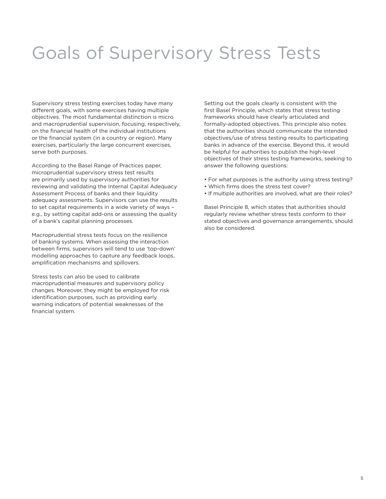### Goals of Supervisory Stress Tests

Supervisory stress testing exercises today have many different goals, with some exercises having multiple objectives. The most fundamental distinction is micro and macroprudential supervision, focusing, respectively, on the financial health of the individual institutions or the financial system (in a country or region). Many exercises, particularly the large concurrent exercises, serve both purposes.

According to the Basel Range of Practices paper, microprudential supervisory stress test results are primarily used by supervisory authorities for reviewing and validating the Internal Capital Adequacy Assessment Process of banks and their liquidity adequacy assessments. Supervisors can use the results to set capital requirements in a wide variety of ways – e.g., by setting capital add-ons or assessing the quality of a bank's capital planning processes.

Macroprudential stress tests focus on the resilience of banking systems. When assessing the interaction between firms, supervisors will tend to use 'top-down' modelling approaches to capture any feedback loops, amplification mechanisms and spillovers.

Stress tests can also be used to calibrate macroprudential measures and supervisory policy changes. Moreover, they might be employed for risk identification purposes, such as providing early warning indicators of potential weaknesses of the financial system.

Setting out the goals clearly is consistent with the first Basel Principle, which states that stress testing frameworks should have clearly articulated and formally-adopted objectives. This principle also notes that the authorities should communicate the intended objectives/use of stress testing results to participating banks in advance of the exercise. Beyond this, it would be helpful for authorities to publish the high-level objectives of their stress testing frameworks, seeking to answer the following questions:

- For what purposes is the authority using stress testing?
- Which firms does the stress test cover?
- If multiple authorities are involved, what are their roles?

Basel Principle 8, which states that authorities should regularly review whether stress tests conform to their stated objectives and governance arrangements, should also be considered.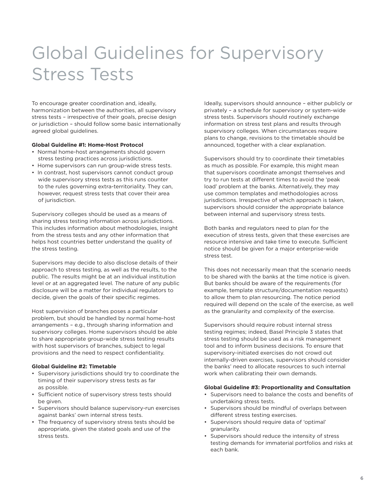### Global Guidelines for Supervisory Stress Tests

To encourage greater coordination and, ideally, harmonization between the authorities, all supervisory stress tests – irrespective of their goals, precise design or jurisdiction – should follow some basic internationally agreed global guidelines.

#### **Global Guideline #1: Home-Host Protocol**

- Normal home-host arrangements should govern stress testing practices across jurisdictions.
- Home supervisors can run group-wide stress tests.
- In contrast, host supervisors cannot conduct group wide supervisory stress tests as this runs counter to the rules governing extra-territoriality. They can, however, request stress tests that cover their area of jurisdiction.

Supervisory colleges should be used as a means of sharing stress testing information across jurisdictions. This includes information about methodologies, insight from the stress tests and any other information that helps host countries better understand the quality of the stress testing.

Supervisors may decide to also disclose details of their approach to stress testing, as well as the results, to the public. The results might be at an individual institution level or at an aggregated level. The nature of any public disclosure will be a matter for individual regulators to decide, given the goals of their specific regimes.

Host supervision of branches poses a particular problem, but should be handled by normal home-host arrangements – e.g., through sharing information and supervisory colleges. Home supervisors should be able to share appropriate group-wide stress testing results with host supervisors of branches, subject to legal provisions and the need to respect confidentiality.

#### **Global Guideline #2: Timetable**

- Supervisory jurisdictions should try to coordinate the timing of their supervisory stress tests as far as possible.
- Sufficient notice of supervisory stress tests should be given.
- Supervisors should balance supervisory-run exercises against banks' own internal stress tests.
- The frequency of supervisory stress tests should be appropriate, given the stated goals and use of the stress tests.

Ideally, supervisors should announce – either publicly or privately – a schedule for supervisory or system-wide stress tests. Supervisors should routinely exchange information on stress test plans and results through supervisory colleges. When circumstances require plans to change, revisions to the timetable should be announced, together with a clear explanation.

Supervisors should try to coordinate their timetables as much as possible. For example, this might mean that supervisors coordinate amongst themselves and try to run tests at different times to avoid the 'peak load' problem at the banks. Alternatively, they may use common templates and methodologies across jurisdictions. Irrespective of which approach is taken, supervisors should consider the appropriate balance between internal and supervisory stress tests.

Both banks and regulators need to plan for the execution of stress tests, given that these exercises are resource intensive and take time to execute. Sufficient notice should be given for a major enterprise-wide stress test.

This does not necessarily mean that the scenario needs to be shared with the banks at the time notice is given. But banks should be aware of the requirements (for example, template structure/documentation requests) to allow them to plan resourcing. The notice period required will depend on the scale of the exercise, as well as the granularity and complexity of the exercise.

Supervisors should require robust internal stress testing regimes; indeed, Basel Principle 3 states that stress testing should be used as a risk management tool and to inform business decisions. To ensure that supervisory-initiated exercises do not crowd out internally-driven exercises, supervisors should consider the banks' need to allocate resources to such internal work when calibrating their own demands.

#### **Global Guideline #3: Proportionality and Consultation**

- Supervisors need to balance the costs and benefits of undertaking stress tests.
- Supervisors should be mindful of overlaps between different stress testing exercises.
- Supervisors should require data of 'optimal' granularity.
- Supervisors should reduce the intensity of stress testing demands for immaterial portfolios and risks at each bank.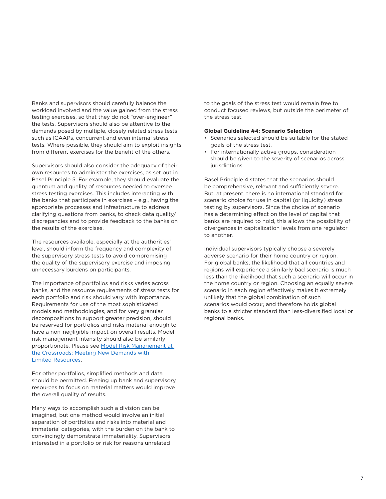Banks and supervisors should carefully balance the workload involved and the value gained from the stress testing exercises, so that they do not "over-engineer" the tests. Supervisors should also be attentive to the demands posed by multiple, closely related stress tests such as ICAAPs, concurrent and even internal stress tests. Where possible, they should aim to exploit insights from different exercises for the benefit of the others.

Supervisors should also consider the adequacy of their own resources to administer the exercises, as set out in Basel Principle 5. For example, they should evaluate the quantum and quality of resources needed to oversee stress testing exercises. This includes interacting with the banks that participate in exercises – e.g., having the appropriate processes and infrastructure to address clarifying questions from banks, to check data quality/ discrepancies and to provide feedback to the banks on the results of the exercises.

The resources available, especially at the authorities' level, should inform the frequency and complexity of the supervisory stress tests to avoid compromising the quality of the supervisory exercise and imposing unnecessary burdens on participants.

The importance of portfolios and risks varies across banks, and the resource requirements of stress tests for each portfolio and risk should vary with importance. Requirements for use of the most sophisticated models and methodologies, and for very granular decompositions to support greater precision, should be reserved for portfolios and risks material enough to have a non-negligible impact on overall results. Model risk management intensity should also be similarly proportionate. Please see [Model Risk Management at](https://www.garp.org/#!/garp-risk-institute/article)  [the Crossroads: Meeting New Demands with](https://www.garp.org/#!/garp-risk-institute/article)  [Limited Resources](https://www.garp.org/#!/garp-risk-institute/article).

For other portfolios, simplified methods and data should be permitted. Freeing up bank and supervisory resources to focus on material matters would improve the overall quality of results.

Many ways to accomplish such a division can be imagined, but one method would involve an initial separation of portfolios and risks into material and immaterial categories, with the burden on the bank to convincingly demonstrate immateriality. Supervisors interested in a portfolio or risk for reasons unrelated

to the goals of the stress test would remain free to conduct focused reviews, but outside the perimeter of the stress test.

#### **Global Guideline #4: Scenario Selection**

- Scenarios selected should be suitable for the stated goals of the stress test.
- For internationally active groups, consideration should be given to the severity of scenarios across jurisdictions.

Basel Principle 4 states that the scenarios should be comprehensive, relevant and sufficiently severe. But, at present, there is no international standard for scenario choice for use in capital (or liquidity) stress testing by supervisors. Since the choice of scenario has a determining effect on the level of capital that banks are required to hold, this allows the possibility of divergences in capitalization levels from one regulator to another.

Individual supervisors typically choose a severely adverse scenario for their home country or region. For global banks, the likelihood that all countries and regions will experience a similarly bad scenario is much less than the likelihood that such a scenario will occur in the home country or region. Choosing an equally severe scenario in each region effectively makes it extremely unlikely that the global combination of such scenarios would occur, and therefore holds global banks to a stricter standard than less-diversified local or regional banks.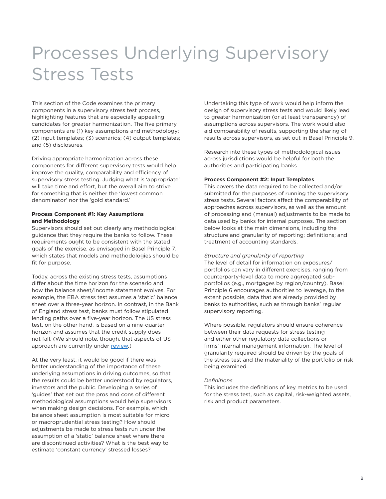### Processes Underlying Supervisory Stress Tests

This section of the Code examines the primary components in a supervisory stress test process, highlighting features that are especially appealing candidates for greater harmonization. The five primary components are (1) key assumptions and methodology; (2) input templates; (3) scenarios; (4) output templates; and (5) disclosures.

Driving appropriate harmonization across these components for different supervisory tests would help improve the quality, comparability and efficiency of supervisory stress testing. Judging what is 'appropriate' will take time and effort, but the overall aim to strive for something that is neither the 'lowest common denominator' nor the 'gold standard.'

#### **Process Component #1: Key Assumptions and Methodology**

Supervisors should set out clearly any methodological guidance that they require the banks to follow. These requirements ought to be consistent with the stated goals of the exercise, as envisaged in Basel Principle 7, which states that models and methodologies should be fit for purpose.

Today, across the existing stress tests, assumptions differ about the time horizon for the scenario and how the balance sheet/income statement evolves. For example, the EBA stress test assumes a 'static' balance sheet over a three-year horizon. In contrast, in the Bank of England stress test, banks must follow stipulated lending paths over a five-year horizon. The US stress test, on the other hand, is based on a nine-quarter horizon and assumes that the credit supply does not fall. (We should note, though, that aspects of US approach are currently under [review.](https://www.gpo.gov/fdsys/pkg/FR-2018-04-25/pdf/2018-08006.pdf))

At the very least, it would be good if there was better understanding of the importance of these underlying assumptions in driving outcomes, so that the results could be better understood by regulators, investors and the public. Developing a series of 'guides' that set out the pros and cons of different methodological assumptions would help supervisors when making design decisions. For example, which balance sheet assumption is most suitable for micro or macroprudential stress testing? How should adjustments be made to stress tests run under the assumption of a 'static' balance sheet where there are discontinued activities? What is the best way to estimate 'constant currency' stressed losses?

Undertaking this type of work would help inform the design of supervisory stress tests and would likely lead to greater harmonization (or at least transparency) of assumptions across supervisors. The work would also aid comparability of results, supporting the sharing of results across supervisors, as set out in Basel Principle 9.

Research into these types of methodological issues across jurisdictions would be helpful for both the authorities and participating banks.

#### **Process Component #2: Input Templates**

This covers the data required to be collected and/or submitted for the purposes of running the supervisory stress tests. Several factors affect the comparability of approaches across supervisors, as well as the amount of processing and (manual) adjustments to be made to data used by banks for internal purposes. The section below looks at the main dimensions, including the structure and granularity of reporting; definitions; and treatment of accounting standards.

#### *Structure and granularity of reporting*

The level of detail for information on exposures/ portfolios can vary in different exercises, ranging from counterparty-level data to more aggregated subportfolios (e.g., mortgages by region/country). Basel Principle 6 encourages authorities to leverage, to the extent possible, data that are already provided by banks to authorities, such as through banks' regular supervisory reporting.

Where possible, regulators should ensure coherence between their data requests for stress testing and either other regulatory data collections or firms' internal management information. The level of granularity required should be driven by the goals of the stress test and the materiality of the portfolio or risk being examined.

#### *Definitions*

This includes the definitions of key metrics to be used for the stress test, such as capital, risk-weighted assets, risk and product parameters.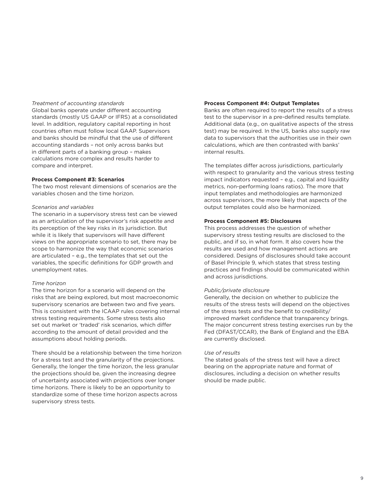#### *Treatment of accounting standards*

Global banks operate under different accounting standards (mostly US GAAP or IFRS) at a consolidated level. In addition, regulatory capital reporting in host countries often must follow local GAAP. Supervisors and banks should be mindful that the use of different accounting standards – not only across banks but in different parts of a banking group – makes calculations more complex and results harder to compare and interpret.

#### **Process Component #3: Scenarios**

The two most relevant dimensions of scenarios are the variables chosen and the time horizon.

#### *Scenarios and variables*

The scenario in a supervisory stress test can be viewed as an articulation of the supervisor's risk appetite and its perception of the key risks in its jurisdiction. But while it is likely that supervisors will have different views on the appropriate scenario to set, there may be scope to harmonize the way that economic scenarios are articulated – e.g., the templates that set out the variables, the specific definitions for GDP growth and unemployment rates.

#### *Time horizon*

The time horizon for a scenario will depend on the risks that are being explored, but most macroeconomic supervisory scenarios are between two and five years. This is consistent with the ICAAP rules covering internal stress testing requirements. Some stress tests also set out market or 'traded' risk scenarios, which differ according to the amount of detail provided and the assumptions about holding periods.

There should be a relationship between the time horizon for a stress test and the granularity of the projections. Generally, the longer the time horizon, the less granular the projections should be, given the increasing degree of uncertainty associated with projections over longer time horizons. There is likely to be an opportunity to standardize some of these time horizon aspects across supervisory stress tests.

#### **Process Component #4: Output Templates**

Banks are often required to report the results of a stress test to the supervisor in a pre-defined results template. Additional data (e.g., on qualitative aspects of the stress test) may be required. In the US, banks also supply raw data to supervisors that the authorities use in their own calculations, which are then contrasted with banks' internal results.

The templates differ across jurisdictions, particularly with respect to granularity and the various stress testing impact indicators requested – e.g., capital and liquidity metrics, non-performing loans ratios). The more that input templates and methodologies are harmonized across supervisors, the more likely that aspects of the output templates could also be harmonized.

#### **Process Component #5: Disclosures**

This process addresses the question of whether supervisory stress testing results are disclosed to the public, and if so, in what form. It also covers how the results are used and how management actions are considered. Designs of disclosures should take account of Basel Principle 9, which states that stress testing practices and findings should be communicated within and across jurisdictions.

#### *Public/private disclosure*

Generally, the decision on whether to publicize the results of the stress tests will depend on the objectives of the stress tests and the benefit to credibility/ improved market confidence that transparency brings. The major concurrent stress testing exercises run by the Fed (DFAST/CCAR), the Bank of England and the EBA are currently disclosed.

#### *Use of results*

The stated goals of the stress test will have a direct bearing on the appropriate nature and format of disclosures, including a decision on whether results should be made public.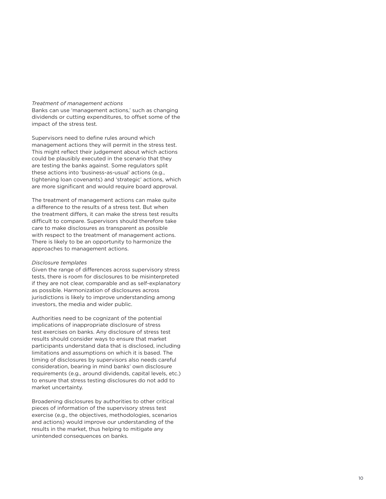#### *Treatment of management actions*

Banks can use 'management actions,' such as changing dividends or cutting expenditures, to offset some of the impact of the stress test.

Supervisors need to define rules around which management actions they will permit in the stress test. This might reflect their judgement about which actions could be plausibly executed in the scenario that they are testing the banks against. Some regulators split these actions into 'business-as-usual' actions (e.g., tightening loan covenants) and 'strategic' actions, which are more significant and would require board approval.

The treatment of management actions can make quite a difference to the results of a stress test. But when the treatment differs, it can make the stress test results difficult to compare. Supervisors should therefore take care to make disclosures as transparent as possible with respect to the treatment of management actions. There is likely to be an opportunity to harmonize the approaches to management actions.

#### *Disclosure templates*

Given the range of differences across supervisory stress tests, there is room for disclosures to be misinterpreted if they are not clear, comparable and as self-explanatory as possible. Harmonization of disclosures across jurisdictions is likely to improve understanding among investors, the media and wider public.

Authorities need to be cognizant of the potential implications of inappropriate disclosure of stress test exercises on banks. Any disclosure of stress test results should consider ways to ensure that market participants understand data that is disclosed, including limitations and assumptions on which it is based. The timing of disclosures by supervisors also needs careful consideration, bearing in mind banks' own disclosure requirements (e.g., around dividends, capital levels, etc.) to ensure that stress testing disclosures do not add to market uncertainty.

Broadening disclosures by authorities to other critical pieces of information of the supervisory stress test exercise (e.g., the objectives, methodologies, scenarios and actions) would improve our understanding of the results in the market, thus helping to mitigate any unintended consequences on banks.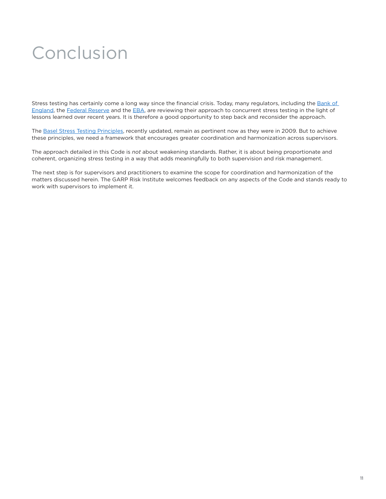## Conclusion

Stress testing has certainly come a long way since the financial crisis. Today, many regulators, including the Bank of [England](https://www.bankofengland.co.uk/independent-evaluation-office), the [Federal Reserve](https://www.federalreserve.gov/newsevents/speech/quarles20181116a.htm) and the [EBA](https://www.eba.europa.eu/documents/10180/2453936/2018+11+15+-+What+we+have+learnt+from+EU-wide+Stress+Tests+%28AE+NBR+seminar%29.pdf), are reviewing their approach to concurrent stress testing in the light of lessons learned over recent years. It is therefore a good opportunity to step back and reconsider the approach.

The [Basel Stress Testing Principles](https://www.bis.org/bcbs/publ/d450.pdf), recently updated, remain as pertinent now as they were in 2009. But to achieve these principles, we need a framework that encourages greater coordination and harmonization across supervisors.

The approach detailed in this Code is *not* about weakening standards. Rather, it is about being proportionate and coherent, organizing stress testing in a way that adds meaningfully to both supervision and risk management.

The next step is for supervisors and practitioners to examine the scope for coordination and harmonization of the matters discussed herein. The GARP Risk Institute welcomes feedback on any aspects of the Code and stands ready to work with supervisors to implement it.